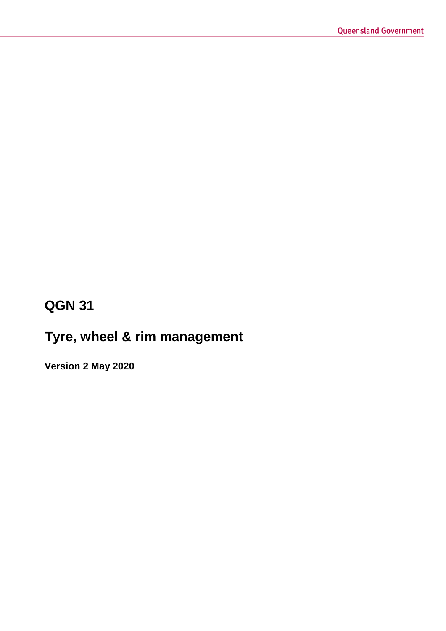# **QGN 31**

# **Tyre, wheel & rim management**

**Version 2 May 2020**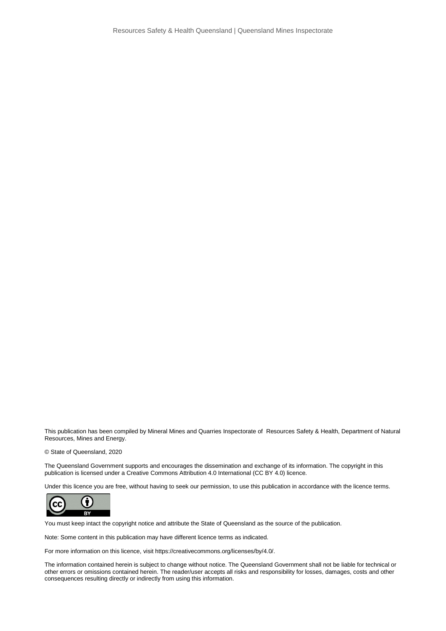This publication has been compiled by Mineral Mines and Quarries Inspectorate of Resources Safety & Health, Department of Natural Resources, Mines and Energy.

© State of Queensland, 2020

The Queensland Government supports and encourages the dissemination and exchange of its information. The copyright in this publication is licensed under a Creative Commons Attribution 4.0 International (CC BY 4.0) licence.

Under this licence you are free, without having to seek our permission, to use this publication in accordance with the licence terms.



You must keep intact the copyright notice and attribute the State of Queensland as the source of the publication.

Note: Some content in this publication may have different licence terms as indicated.

For more information on this licence, visit https://creativecommons.org/licenses/by/4.0/.

The information contained herein is subject to change without notice. The Queensland Government shall not be liable for technical or other errors or omissions contained herein. The reader/user accepts all risks and responsibility for losses, damages, costs and other consequences resulting directly or indirectly from using this information.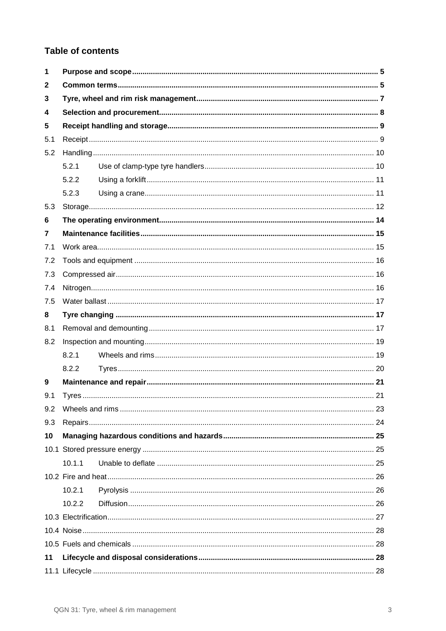### **Table of contents**

| 1   |        |  |  |  |
|-----|--------|--|--|--|
| 2   |        |  |  |  |
| 3   |        |  |  |  |
| 4   |        |  |  |  |
| 5   |        |  |  |  |
| 5.1 |        |  |  |  |
| 5.2 |        |  |  |  |
|     | 5.2.1  |  |  |  |
|     | 5.2.2  |  |  |  |
|     | 5.2.3  |  |  |  |
| 5.3 |        |  |  |  |
| 6   |        |  |  |  |
| 7   |        |  |  |  |
| 7.1 |        |  |  |  |
| 7.2 |        |  |  |  |
| 7.3 |        |  |  |  |
| 7.4 |        |  |  |  |
| 7.5 |        |  |  |  |
| 8   |        |  |  |  |
| 8.1 |        |  |  |  |
| 8.2 |        |  |  |  |
|     | 8.2.1  |  |  |  |
|     | 8.2.2  |  |  |  |
| 9   |        |  |  |  |
| 9.1 |        |  |  |  |
| 9.2 |        |  |  |  |
| 9.3 |        |  |  |  |
| 10  |        |  |  |  |
|     |        |  |  |  |
|     | 10.1.1 |  |  |  |
|     |        |  |  |  |
|     | 10.2.1 |  |  |  |
|     | 10.2.2 |  |  |  |
|     |        |  |  |  |
|     |        |  |  |  |
|     |        |  |  |  |
| 11  |        |  |  |  |
|     |        |  |  |  |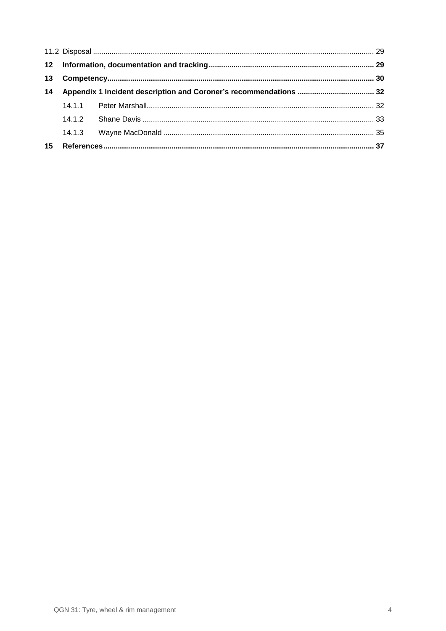| 13 |  |  |  |
|----|--|--|--|
|    |  |  |  |
|    |  |  |  |
|    |  |  |  |
|    |  |  |  |
|    |  |  |  |
| 15 |  |  |  |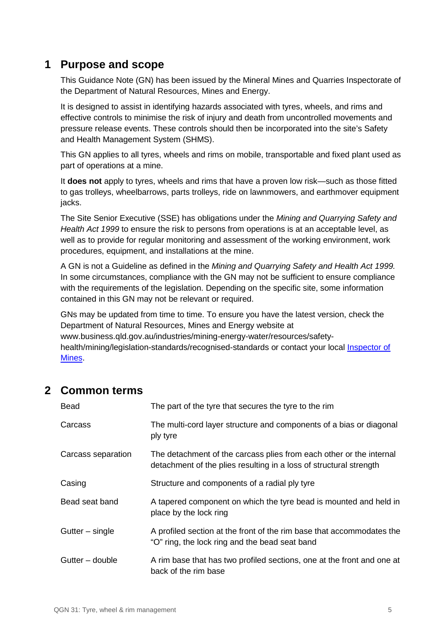# <span id="page-4-0"></span>**1 Purpose and scope**

This Guidance Note (GN) has been issued by the Mineral Mines and Quarries Inspectorate of the Department of Natural Resources, Mines and Energy.

It is designed to assist in identifying hazards associated with tyres, wheels, and rims and effective controls to minimise the risk of injury and death from uncontrolled movements and pressure release events. These controls should then be incorporated into the site's Safety and Health Management System (SHMS).

This GN applies to all tyres, wheels and rims on mobile, transportable and fixed plant used as part of operations at a mine.

It **does not** apply to tyres, wheels and rims that have a proven low risk—such as those fitted to gas trolleys, wheelbarrows, parts trolleys, ride on lawnmowers, and earthmover equipment jacks.

The Site Senior Executive (SSE) has obligations under the *Mining and Quarrying Safety and Health Act 1999* to ensure the risk to persons from operations is at an acceptable level, as well as to provide for regular monitoring and assessment of the working environment, work procedures, equipment, and installations at the mine.

A GN is not a Guideline as defined in the *Mining and Quarrying Safety and Health Act 1999.* In some circumstances, compliance with the GN may not be sufficient to ensure compliance with the requirements of the legislation. Depending on the specific site, some information contained in this GN may not be relevant or required.

GNs may be updated from time to time. To ensure you have the latest version, check the Department of Natural Resources, Mines and Energy website at www.business.qld.gov.au/industries/mining-energy-water/resources/safety-

health/mining/legislation-standards/recognised-standards or contact your local [Inspector of](https://www.dnrm.qld.gov.au/our-department/contact-us/mines-inspectorate-contacts)  [Mines.](https://www.dnrm.qld.gov.au/our-department/contact-us/mines-inspectorate-contacts)

# <span id="page-4-1"></span>**2 Common terms**

| Bead               | The part of the tyre that secures the tyre to the rim                                                                                     |
|--------------------|-------------------------------------------------------------------------------------------------------------------------------------------|
| Carcass            | The multi-cord layer structure and components of a bias or diagonal<br>ply tyre                                                           |
| Carcass separation | The detachment of the carcass plies from each other or the internal<br>detachment of the plies resulting in a loss of structural strength |
| Casing             | Structure and components of a radial ply tyre                                                                                             |
| Bead seat band     | A tapered component on which the tyre bead is mounted and held in<br>place by the lock ring                                               |
| Gutter – single    | A profiled section at the front of the rim base that accommodates the<br>"O" ring, the lock ring and the bead seat band                   |
| Gutter – double    | A rim base that has two profiled sections, one at the front and one at<br>back of the rim base                                            |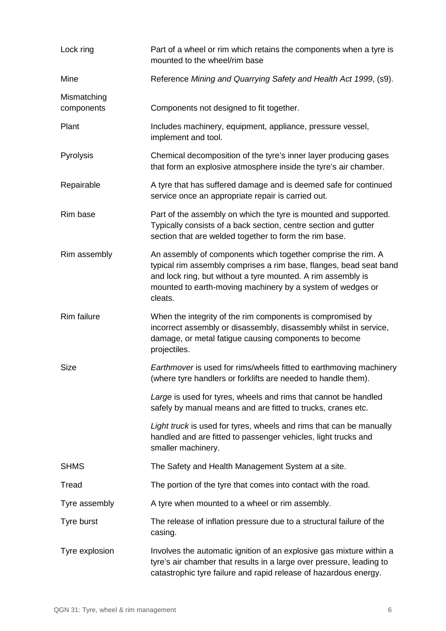| Lock ring                 | Part of a wheel or rim which retains the components when a tyre is<br>mounted to the wheel/rim base                                                                                                                                                                         |
|---------------------------|-----------------------------------------------------------------------------------------------------------------------------------------------------------------------------------------------------------------------------------------------------------------------------|
| Mine                      | Reference Mining and Quarrying Safety and Health Act 1999, (s9).                                                                                                                                                                                                            |
| Mismatching<br>components | Components not designed to fit together.                                                                                                                                                                                                                                    |
| Plant                     | Includes machinery, equipment, appliance, pressure vessel,<br>implement and tool.                                                                                                                                                                                           |
| Pyrolysis                 | Chemical decomposition of the tyre's inner layer producing gases<br>that form an explosive atmosphere inside the tyre's air chamber.                                                                                                                                        |
| Repairable                | A tyre that has suffered damage and is deemed safe for continued<br>service once an appropriate repair is carried out.                                                                                                                                                      |
| Rim base                  | Part of the assembly on which the tyre is mounted and supported.<br>Typically consists of a back section, centre section and gutter<br>section that are welded together to form the rim base.                                                                               |
| Rim assembly              | An assembly of components which together comprise the rim. A<br>typical rim assembly comprises a rim base, flanges, bead seat band<br>and lock ring, but without a tyre mounted. A rim assembly is<br>mounted to earth-moving machinery by a system of wedges or<br>cleats. |
| <b>Rim failure</b>        | When the integrity of the rim components is compromised by<br>incorrect assembly or disassembly, disassembly whilst in service,<br>damage, or metal fatigue causing components to become<br>projectiles.                                                                    |
| <b>Size</b>               | Earthmover is used for rims/wheels fitted to earthmoving machinery<br>(where tyre handlers or forklifts are needed to handle them).                                                                                                                                         |
|                           | Large is used for tyres, wheels and rims that cannot be handled<br>safely by manual means and are fitted to trucks, cranes etc.                                                                                                                                             |
|                           | Light truck is used for tyres, wheels and rims that can be manually<br>handled and are fitted to passenger vehicles, light trucks and<br>smaller machinery.                                                                                                                 |
| <b>SHMS</b>               | The Safety and Health Management System at a site.                                                                                                                                                                                                                          |
| Tread                     | The portion of the tyre that comes into contact with the road.                                                                                                                                                                                                              |
| Tyre assembly             | A tyre when mounted to a wheel or rim assembly.                                                                                                                                                                                                                             |
| Tyre burst                | The release of inflation pressure due to a structural failure of the<br>casing.                                                                                                                                                                                             |
| Tyre explosion            | Involves the automatic ignition of an explosive gas mixture within a<br>tyre's air chamber that results in a large over pressure, leading to<br>catastrophic tyre failure and rapid release of hazardous energy.                                                            |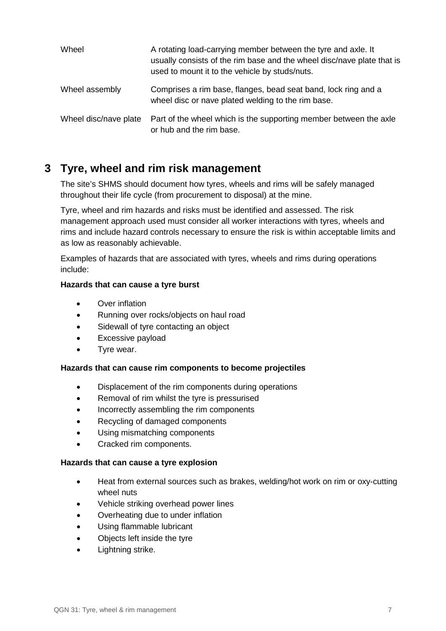| Wheel                 | A rotating load-carrying member between the tyre and axle. It<br>usually consists of the rim base and the wheel disc/nave plate that is<br>used to mount it to the vehicle by studs/nuts. |
|-----------------------|-------------------------------------------------------------------------------------------------------------------------------------------------------------------------------------------|
| Wheel assembly        | Comprises a rim base, flanges, bead seat band, lock ring and a<br>wheel disc or nave plated welding to the rim base.                                                                      |
| Wheel disc/nave plate | Part of the wheel which is the supporting member between the axle<br>or hub and the rim base.                                                                                             |

# <span id="page-6-0"></span>**3 Tyre, wheel and rim risk management**

The site's SHMS should document how tyres, wheels and rims will be safely managed throughout their life cycle (from procurement to disposal) at the mine.

Tyre, wheel and rim hazards and risks must be identified and assessed. The risk management approach used must consider all worker interactions with tyres, wheels and rims and include hazard controls necessary to ensure the risk is within acceptable limits and as low as reasonably achievable.

Examples of hazards that are associated with tyres, wheels and rims during operations include:

#### **Hazards that can cause a tyre burst**

- Over inflation
- Running over rocks/objects on haul road
- Sidewall of tyre contacting an object
- Excessive payload
- Tyre wear.

#### **Hazards that can cause rim components to become projectiles**

- Displacement of the rim components during operations
- Removal of rim whilst the tyre is pressurised
- Incorrectly assembling the rim components
- Recycling of damaged components
- Using mismatching components
- Cracked rim components.

#### **Hazards that can cause a tyre explosion**

- Heat from external sources such as brakes, welding/hot work on rim or oxy-cutting wheel nuts
- Vehicle striking overhead power lines
- Overheating due to under inflation
- Using flammable lubricant
- Objects left inside the tyre
- Lightning strike.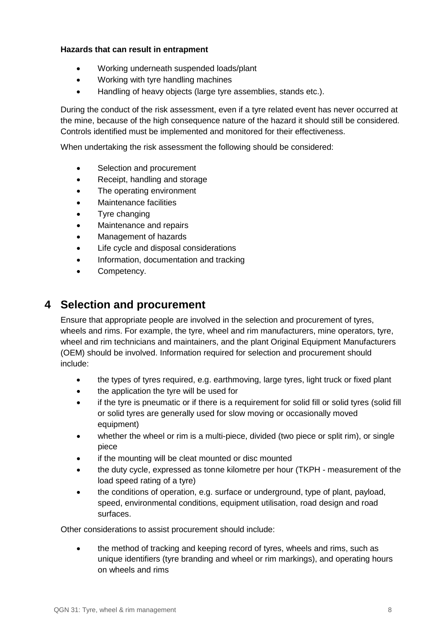#### **Hazards that can result in entrapment**

- Working underneath suspended loads/plant
- Working with tyre handling machines
- Handling of heavy objects (large tyre assemblies, stands etc.).

During the conduct of the risk assessment, even if a tyre related event has never occurred at the mine, because of the high consequence nature of the hazard it should still be considered. Controls identified must be implemented and monitored for their effectiveness.

When undertaking the risk assessment the following should be considered:

- Selection and procurement
- Receipt, handling and storage
- The operating environment
- Maintenance facilities
- Tyre changing
- Maintenance and repairs
- Management of hazards
- Life cycle and disposal considerations
- Information, documentation and tracking
- Competency.

## <span id="page-7-0"></span>**4 Selection and procurement**

Ensure that appropriate people are involved in the selection and procurement of tyres, wheels and rims. For example, the tyre, wheel and rim manufacturers, mine operators, tyre, wheel and rim technicians and maintainers, and the plant Original Equipment Manufacturers (OEM) should be involved. Information required for selection and procurement should include:

- the types of tyres required, e.g. earthmoving, large tyres, light truck or fixed plant
- the application the tyre will be used for
- if the tyre is pneumatic or if there is a requirement for solid fill or solid tyres (solid fill or solid tyres are generally used for slow moving or occasionally moved equipment)
- whether the wheel or rim is a multi-piece, divided (two piece or split rim), or single piece
- if the mounting will be cleat mounted or disc mounted
- the duty cycle, expressed as tonne kilometre per hour (TKPH measurement of the load speed rating of a tyre)
- the conditions of operation, e.g. surface or underground, type of plant, payload, speed, environmental conditions, equipment utilisation, road design and road surfaces.

Other considerations to assist procurement should include:

• the method of tracking and keeping record of tyres, wheels and rims, such as unique identifiers (tyre branding and wheel or rim markings), and operating hours on wheels and rims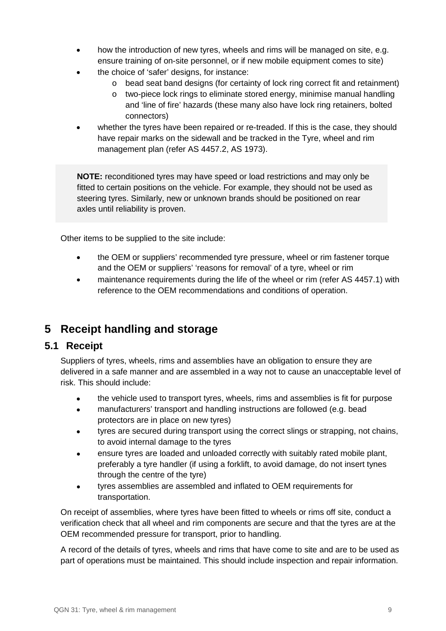- how the introduction of new tyres, wheels and rims will be managed on site, e.g. ensure training of on-site personnel, or if new mobile equipment comes to site)
- the choice of 'safer' designs, for instance:
	- o bead seat band designs (for certainty of lock ring correct fit and retainment)
	- o two-piece lock rings to eliminate stored energy, minimise manual handling and 'line of fire' hazards (these many also have lock ring retainers, bolted connectors)
- whether the tyres have been repaired or re-treaded. If this is the case, they should have repair marks on the sidewall and be tracked in the Tyre, wheel and rim management plan (refer AS 4457.2, AS 1973).

**NOTE:** reconditioned tyres may have speed or load restrictions and may only be fitted to certain positions on the vehicle. For example, they should not be used as steering tyres. Similarly, new or unknown brands should be positioned on rear axles until reliability is proven.

Other items to be supplied to the site include:

- the OEM or suppliers' recommended tyre pressure, wheel or rim fastener torque and the OEM or suppliers' 'reasons for removal' of a tyre, wheel or rim
- maintenance requirements during the life of the wheel or rim (refer AS 4457.1) with reference to the OEM recommendations and conditions of operation.

# <span id="page-8-0"></span>**5 Receipt handling and storage**

### <span id="page-8-1"></span>**5.1 Receipt**

Suppliers of tyres, wheels, rims and assemblies have an obligation to ensure they are delivered in a safe manner and are assembled in a way not to cause an unacceptable level of risk. This should include:

- the vehicle used to transport tyres, wheels, rims and assemblies is fit for purpose
- manufacturers' transport and handling instructions are followed (e.g. bead protectors are in place on new tyres)
- tyres are secured during transport using the correct slings or strapping, not chains, to avoid internal damage to the tyres
- ensure tyres are loaded and unloaded correctly with suitably rated mobile plant, preferably a tyre handler (if using a forklift, to avoid damage, do not insert tynes through the centre of the tyre)
- tyres assemblies are assembled and inflated to OEM requirements for transportation.

On receipt of assemblies, where tyres have been fitted to wheels or rims off site, conduct a verification check that all wheel and rim components are secure and that the tyres are at the OEM recommended pressure for transport, prior to handling.

A record of the details of tyres, wheels and rims that have come to site and are to be used as part of operations must be maintained. This should include inspection and repair information.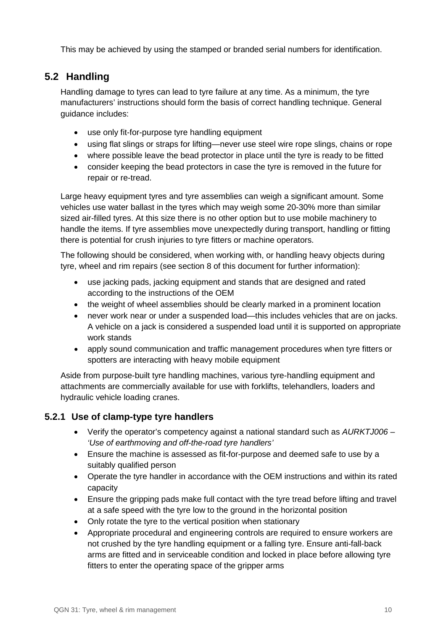This may be achieved by using the stamped or branded serial numbers for identification.

# <span id="page-9-0"></span>**5.2 Handling**

Handling damage to tyres can lead to tyre failure at any time. As a minimum, the tyre manufacturers' instructions should form the basis of correct handling technique. General guidance includes:

- use only fit-for-purpose tyre handling equipment
- using flat slings or straps for lifting—never use steel wire rope slings, chains or rope
- where possible leave the bead protector in place until the tyre is ready to be fitted
- consider keeping the bead protectors in case the tyre is removed in the future for repair or re-tread.

Large heavy equipment tyres and tyre assemblies can weigh a significant amount. Some vehicles use water ballast in the tyres which may weigh some 20-30% more than similar sized air-filled tyres. At this size there is no other option but to use mobile machinery to handle the items. If tyre assemblies move unexpectedly during transport, handling or fitting there is potential for crush injuries to tyre fitters or machine operators.

The following should be considered, when working with, or handling heavy objects during tyre, wheel and rim repairs (see section 8 of this document for further information):

- use jacking pads, jacking equipment and stands that are designed and rated according to the instructions of the OEM
- the weight of wheel assemblies should be clearly marked in a prominent location
- never work near or under a suspended load—this includes vehicles that are on jacks. A vehicle on a jack is considered a suspended load until it is supported on appropriate work stands
- apply sound communication and traffic management procedures when tyre fitters or spotters are interacting with heavy mobile equipment

Aside from purpose-built tyre handling machines, various tyre-handling equipment and attachments are commercially available for use with forklifts, telehandlers, loaders and hydraulic vehicle loading cranes.

### <span id="page-9-1"></span>**5.2.1 Use of clamp-type tyre handlers**

- Verify the operator's competency against a national standard such as *AURKTJ006 – 'Use of earthmoving and off-the-road tyre handlers'*
- Ensure the machine is assessed as fit-for-purpose and deemed safe to use by a suitably qualified person
- Operate the tyre handler in accordance with the OEM instructions and within its rated capacity
- Ensure the gripping pads make full contact with the tyre tread before lifting and travel at a safe speed with the tyre low to the ground in the horizontal position
- Only rotate the tyre to the vertical position when stationary
- Appropriate procedural and engineering controls are required to ensure workers are not crushed by the tyre handling equipment or a falling tyre. Ensure anti-fall-back arms are fitted and in serviceable condition and locked in place before allowing tyre fitters to enter the operating space of the gripper arms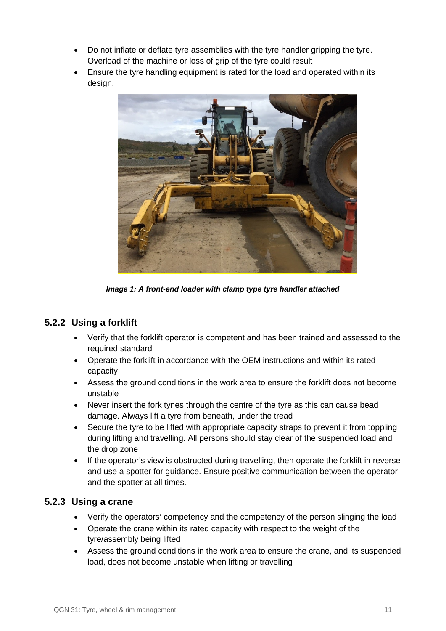- Do not inflate or deflate tyre assemblies with the tyre handler gripping the tyre. Overload of the machine or loss of grip of the tyre could result
- Ensure the tyre handling equipment is rated for the load and operated within its design.



*Image 1: A front-end loader with clamp type tyre handler attached*

### <span id="page-10-0"></span>**5.2.2 Using a forklift**

- Verify that the forklift operator is competent and has been trained and assessed to the required standard
- Operate the forklift in accordance with the OEM instructions and within its rated capacity
- Assess the ground conditions in the work area to ensure the forklift does not become unstable
- Never insert the fork tynes through the centre of the tyre as this can cause bead damage. Always lift a tyre from beneath, under the tread
- Secure the tyre to be lifted with appropriate capacity straps to prevent it from toppling during lifting and travelling. All persons should stay clear of the suspended load and the drop zone
- If the operator's view is obstructed during travelling, then operate the forklift in reverse and use a spotter for guidance. Ensure positive communication between the operator and the spotter at all times.

### <span id="page-10-1"></span>**5.2.3 Using a crane**

- Verify the operators' competency and the competency of the person slinging the load
- Operate the crane within its rated capacity with respect to the weight of the tyre/assembly being lifted
- Assess the ground conditions in the work area to ensure the crane, and its suspended load, does not become unstable when lifting or travelling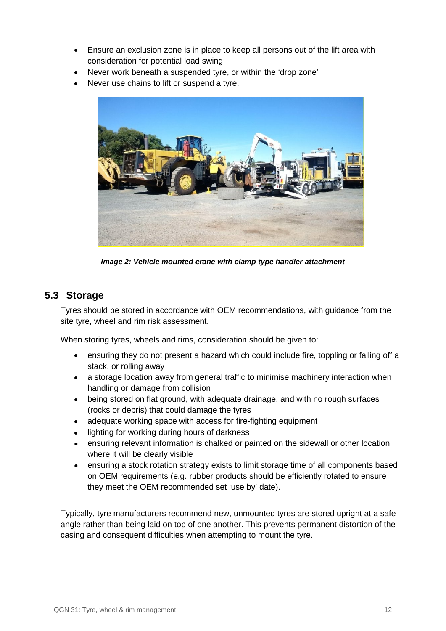- Ensure an exclusion zone is in place to keep all persons out of the lift area with consideration for potential load swing
- Never work beneath a suspended tyre, or within the 'drop zone'
- Never use chains to lift or suspend a tyre.



*Image 2: Vehicle mounted crane with clamp type handler attachment*

### <span id="page-11-0"></span>**5.3 Storage**

Tyres should be stored in accordance with OEM recommendations, with guidance from the site tyre, wheel and rim risk assessment.

When storing tyres, wheels and rims, consideration should be given to:

- ensuring they do not present a hazard which could include fire, toppling or falling off a stack, or rolling away
- a storage location away from general traffic to minimise machinery interaction when handling or damage from collision
- being stored on flat ground, with adequate drainage, and with no rough surfaces (rocks or debris) that could damage the tyres
- adequate working space with access for fire-fighting equipment
- lighting for working during hours of darkness
- ensuring relevant information is chalked or painted on the sidewall or other location where it will be clearly visible
- ensuring a stock rotation strategy exists to limit storage time of all components based on OEM requirements (e.g. rubber products should be efficiently rotated to ensure they meet the OEM recommended set 'use by' date).

Typically, tyre manufacturers recommend new, unmounted tyres are stored upright at a safe angle rather than being laid on top of one another. This prevents permanent distortion of the casing and consequent difficulties when attempting to mount the tyre.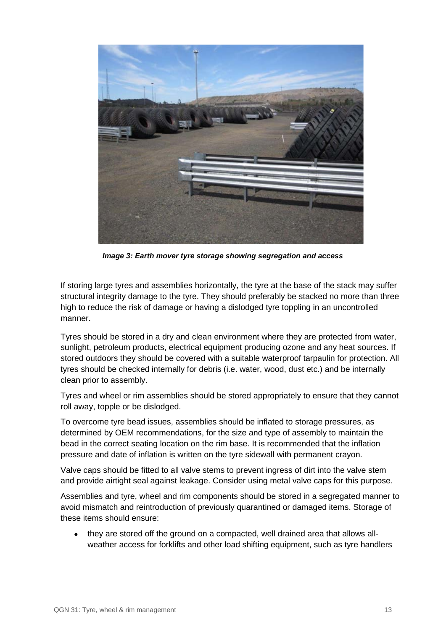

*Image 3: Earth mover tyre storage showing segregation and access*

If storing large tyres and assemblies horizontally, the tyre at the base of the stack may suffer structural integrity damage to the tyre. They should preferably be stacked no more than three high to reduce the risk of damage or having a dislodged tyre toppling in an uncontrolled manner.

Tyres should be stored in a dry and clean environment where they are protected from water, sunlight, petroleum products, electrical equipment producing ozone and any heat sources. If stored outdoors they should be covered with a suitable waterproof tarpaulin for protection. All tyres should be checked internally for debris (i.e. water, wood, dust etc.) and be internally clean prior to assembly.

Tyres and wheel or rim assemblies should be stored appropriately to ensure that they cannot roll away, topple or be dislodged.

To overcome tyre bead issues, assemblies should be inflated to storage pressures, as determined by OEM recommendations, for the size and type of assembly to maintain the bead in the correct seating location on the rim base. It is recommended that the inflation pressure and date of inflation is written on the tyre sidewall with permanent crayon.

Valve caps should be fitted to all valve stems to prevent ingress of dirt into the valve stem and provide airtight seal against leakage. Consider using metal valve caps for this purpose.

Assemblies and tyre, wheel and rim components should be stored in a segregated manner to avoid mismatch and reintroduction of previously quarantined or damaged items. Storage of these items should ensure:

• they are stored off the ground on a compacted, well drained area that allows allweather access for forklifts and other load shifting equipment, such as tyre handlers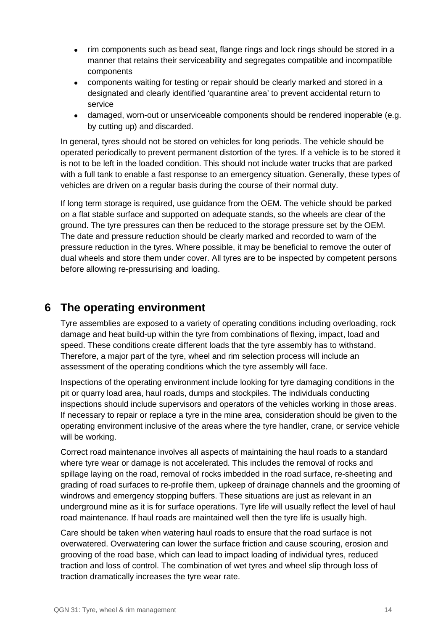- rim components such as bead seat, flange rings and lock rings should be stored in a manner that retains their serviceability and segregates compatible and incompatible components
- components waiting for testing or repair should be clearly marked and stored in a designated and clearly identified 'quarantine area' to prevent accidental return to service
- damaged, worn-out or unserviceable components should be rendered inoperable (e.g. by cutting up) and discarded.

In general, tyres should not be stored on vehicles for long periods. The vehicle should be operated periodically to prevent permanent distortion of the tyres. If a vehicle is to be stored it is not to be left in the loaded condition. This should not include water trucks that are parked with a full tank to enable a fast response to an emergency situation. Generally, these types of vehicles are driven on a regular basis during the course of their normal duty.

If long term storage is required, use guidance from the OEM. The vehicle should be parked on a flat stable surface and supported on adequate stands, so the wheels are clear of the ground. The tyre pressures can then be reduced to the storage pressure set by the OEM. The date and pressure reduction should be clearly marked and recorded to warn of the pressure reduction in the tyres. Where possible, it may be beneficial to remove the outer of dual wheels and store them under cover. All tyres are to be inspected by competent persons before allowing re-pressurising and loading.

# <span id="page-13-0"></span>**6 The operating environment**

Tyre assemblies are exposed to a variety of operating conditions including overloading, rock damage and heat build-up within the tyre from combinations of flexing, impact, load and speed. These conditions create different loads that the tyre assembly has to withstand. Therefore, a major part of the tyre, wheel and rim selection process will include an assessment of the operating conditions which the tyre assembly will face.

Inspections of the operating environment include looking for tyre damaging conditions in the pit or quarry load area, haul roads, dumps and stockpiles. The individuals conducting inspections should include supervisors and operators of the vehicles working in those areas. If necessary to repair or replace a tyre in the mine area, consideration should be given to the operating environment inclusive of the areas where the tyre handler, crane, or service vehicle will be working.

Correct road maintenance involves all aspects of maintaining the haul roads to a standard where tyre wear or damage is not accelerated. This includes the removal of rocks and spillage laying on the road, removal of rocks imbedded in the road surface, re-sheeting and grading of road surfaces to re-profile them, upkeep of drainage channels and the grooming of windrows and emergency stopping buffers. These situations are just as relevant in an underground mine as it is for surface operations. Tyre life will usually reflect the level of haul road maintenance. If haul roads are maintained well then the tyre life is usually high.

Care should be taken when watering haul roads to ensure that the road surface is not overwatered. Overwatering can lower the surface friction and cause scouring, erosion and grooving of the road base, which can lead to impact loading of individual tyres, reduced traction and loss of control. The combination of wet tyres and wheel slip through loss of traction dramatically increases the tyre wear rate.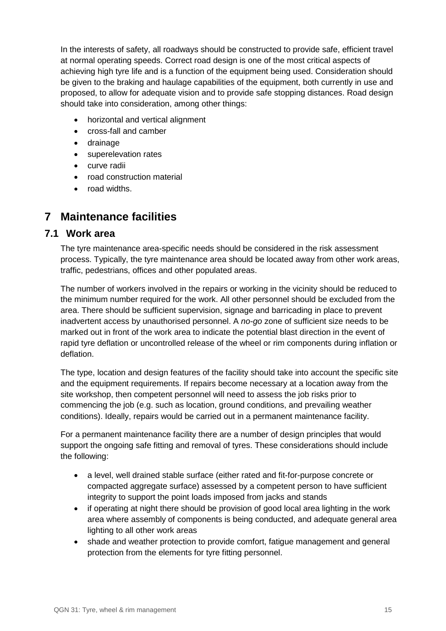In the interests of safety, all roadways should be constructed to provide safe, efficient travel at normal operating speeds. Correct road design is one of the most critical aspects of achieving high tyre life and is a function of the equipment being used. Consideration should be given to the braking and haulage capabilities of the equipment, both currently in use and proposed, to allow for adequate vision and to provide safe stopping distances. Road design should take into consideration, among other things:

- horizontal and vertical alignment
- cross-fall and camber
- drainage
- superelevation rates
- curve radii
- road construction material
- road widths.

# <span id="page-14-0"></span>**7 Maintenance facilities**

#### <span id="page-14-1"></span>**7.1 Work area**

The tyre maintenance area-specific needs should be considered in the risk assessment process. Typically, the tyre maintenance area should be located away from other work areas, traffic, pedestrians, offices and other populated areas.

The number of workers involved in the repairs or working in the vicinity should be reduced to the minimum number required for the work. All other personnel should be excluded from the area. There should be sufficient supervision, signage and barricading in place to prevent inadvertent access by unauthorised personnel. A *no-go* zone of sufficient size needs to be marked out in front of the work area to indicate the potential blast direction in the event of rapid tyre deflation or uncontrolled release of the wheel or rim components during inflation or deflation.

The type, location and design features of the facility should take into account the specific site and the equipment requirements. If repairs become necessary at a location away from the site workshop, then competent personnel will need to assess the job risks prior to commencing the job (e.g. such as location, ground conditions, and prevailing weather conditions). Ideally, repairs would be carried out in a permanent maintenance facility.

For a permanent maintenance facility there are a number of design principles that would support the ongoing safe fitting and removal of tyres. These considerations should include the following:

- a level, well drained stable surface (either rated and fit-for-purpose concrete or compacted aggregate surface) assessed by a competent person to have sufficient integrity to support the point loads imposed from jacks and stands
- if operating at night there should be provision of good local area lighting in the work area where assembly of components is being conducted, and adequate general area lighting to all other work areas
- shade and weather protection to provide comfort, fatigue management and general protection from the elements for tyre fitting personnel.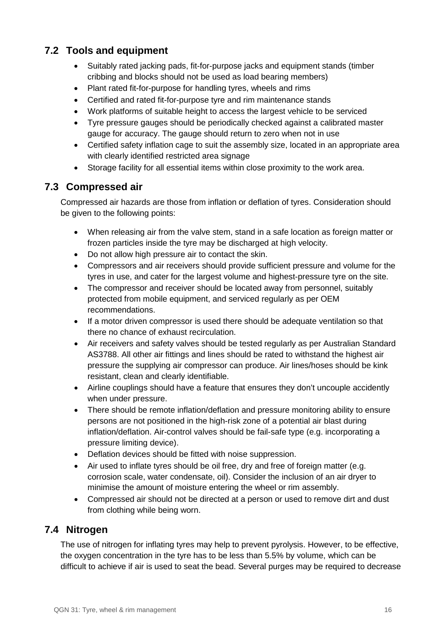## <span id="page-15-0"></span>**7.2 Tools and equipment**

- Suitably rated jacking pads, fit-for-purpose jacks and equipment stands (timber cribbing and blocks should not be used as load bearing members)
- Plant rated fit-for-purpose for handling tyres, wheels and rims
- Certified and rated fit-for-purpose tyre and rim maintenance stands
- Work platforms of suitable height to access the largest vehicle to be serviced
- Tyre pressure gauges should be periodically checked against a calibrated master gauge for accuracy. The gauge should return to zero when not in use
- Certified safety inflation cage to suit the assembly size, located in an appropriate area with clearly identified restricted area signage
- Storage facility for all essential items within close proximity to the work area.

### <span id="page-15-1"></span>**7.3 Compressed air**

Compressed air hazards are those from inflation or deflation of tyres. Consideration should be given to the following points:

- When releasing air from the valve stem, stand in a safe location as foreign matter or frozen particles inside the tyre may be discharged at high velocity.
- Do not allow high pressure air to contact the skin.
- Compressors and air receivers should provide sufficient pressure and volume for the tyres in use, and cater for the largest volume and highest-pressure tyre on the site.
- The compressor and receiver should be located away from personnel, suitably protected from mobile equipment, and serviced regularly as per OEM recommendations.
- If a motor driven compressor is used there should be adequate ventilation so that there no chance of exhaust recirculation.
- Air receivers and safety valves should be tested regularly as per Australian Standard AS3788. All other air fittings and lines should be rated to withstand the highest air pressure the supplying air compressor can produce. Air lines/hoses should be kink resistant, clean and clearly identifiable.
- Airline couplings should have a feature that ensures they don't uncouple accidently when under pressure.
- There should be remote inflation/deflation and pressure monitoring ability to ensure persons are not positioned in the high-risk zone of a potential air blast during inflation/deflation. Air-control valves should be fail-safe type (e.g. incorporating a pressure limiting device).
- Deflation devices should be fitted with noise suppression.
- Air used to inflate tyres should be oil free, dry and free of foreign matter (e.g. corrosion scale, water condensate, oil). Consider the inclusion of an air dryer to minimise the amount of moisture entering the wheel or rim assembly.
- Compressed air should not be directed at a person or used to remove dirt and dust from clothing while being worn.

### <span id="page-15-2"></span>**7.4 Nitrogen**

The use of nitrogen for inflating tyres may help to prevent pyrolysis. However, to be effective, the oxygen concentration in the tyre has to be less than 5.5% by volume, which can be difficult to achieve if air is used to seat the bead. Several purges may be required to decrease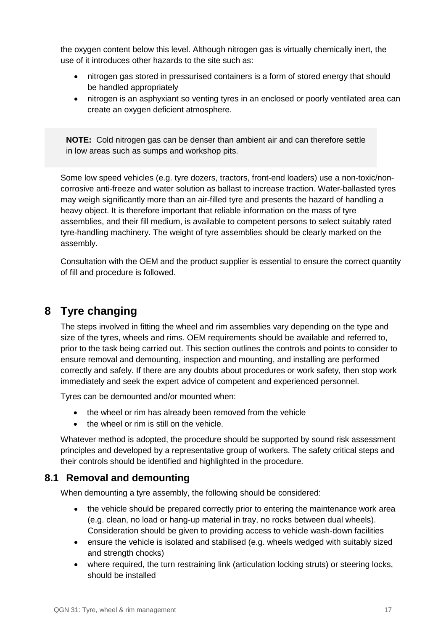the oxygen content below this level. Although nitrogen gas is virtually chemically inert, the use of it introduces other hazards to the site such as:

- nitrogen gas stored in pressurised containers is a form of stored energy that should be handled appropriately
- nitrogen is an asphyxiant so venting tyres in an enclosed or poorly ventilated area can create an oxygen deficient atmosphere.

**NOTE:** Cold nitrogen gas can be denser than ambient air and can therefore settle in low areas such as sumps and workshop pits.

<span id="page-16-0"></span>Some low speed vehicles (e.g. tyre dozers, tractors, front-end loaders) use a non-toxic/noncorrosive anti-freeze and water solution as ballast to increase traction. Water-ballasted tyres may weigh significantly more than an air-filled tyre and presents the hazard of handling a heavy object. It is therefore important that reliable information on the mass of tyre assemblies, and their fill medium, is available to competent persons to select suitably rated tyre-handling machinery. The weight of tyre assemblies should be clearly marked on the assembly.

Consultation with the OEM and the product supplier is essential to ensure the correct quantity of fill and procedure is followed.

# <span id="page-16-1"></span>**8 Tyre changing**

The steps involved in fitting the wheel and rim assemblies vary depending on the type and size of the tyres, wheels and rims. OEM requirements should be available and referred to, prior to the task being carried out. This section outlines the controls and points to consider to ensure removal and demounting, inspection and mounting, and installing are performed correctly and safely. If there are any doubts about procedures or work safety, then stop work immediately and seek the expert advice of competent and experienced personnel.

Tyres can be demounted and/or mounted when:

- the wheel or rim has already been removed from the vehicle
- the wheel or rim is still on the vehicle.

Whatever method is adopted, the procedure should be supported by sound risk assessment principles and developed by a representative group of workers. The safety critical steps and their controls should be identified and highlighted in the procedure.

### <span id="page-16-2"></span>**8.1 Removal and demounting**

When demounting a tyre assembly, the following should be considered:

- the vehicle should be prepared correctly prior to entering the maintenance work area (e.g. clean, no load or hang-up material in tray, no rocks between dual wheels). Consideration should be given to providing access to vehicle wash-down facilities
- ensure the vehicle is isolated and stabilised (e.g. wheels wedged with suitably sized and strength chocks)
- where required, the turn restraining link (articulation locking struts) or steering locks, should be installed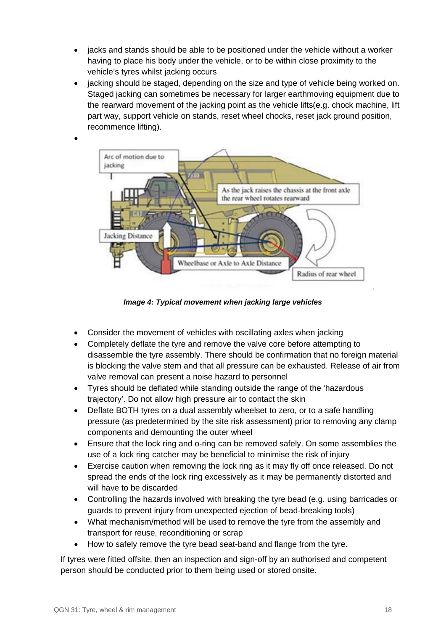- jacks and stands should be able to be positioned under the vehicle without a worker having to place his body under the vehicle, or to be within close proximity to the vehicle's tyres whilst jacking occurs
- jacking should be staged, depending on the size and type of vehicle being worked on. Staged jacking can sometimes be necessary for larger earthmoving equipment due to the rearward movement of the jacking point as the vehicle lifts(e.g. chock machine, lift part way, support vehicle on stands, reset wheel chocks, reset jack ground position, recommence lifting).



*Image 4: Typical movement when jacking large vehicles*

- Consider the movement of vehicles with oscillating axles when jacking
- Completely deflate the tyre and remove the valve core before attempting to disassemble the tyre assembly. There should be confirmation that no foreign material is blocking the valve stem and that all pressure can be exhausted. Release of air from valve removal can present a noise hazard to personnel
- Tyres should be deflated while standing outside the range of the 'hazardous trajectory'. Do not allow high pressure air to contact the skin
- Deflate BOTH tyres on a dual assembly wheelset to zero, or to a safe handling pressure (as predetermined by the site risk assessment) prior to removing any clamp components and demounting the outer wheel
- Ensure that the lock ring and o-ring can be removed safely. On some assemblies the use of a lock ring catcher may be beneficial to minimise the risk of injury
- Exercise caution when removing the lock ring as it may fly off once released. Do not spread the ends of the lock ring excessively as it may be permanently distorted and will have to be discarded
- Controlling the hazards involved with breaking the tyre bead (e.g. using barricades or guards to prevent injury from unexpected ejection of bead-breaking tools)
- What mechanism/method will be used to remove the tyre from the assembly and transport for reuse, reconditioning or scrap
- <span id="page-17-0"></span>• How to safely remove the tyre bead seat-band and flange from the tyre.

If tyres were fitted offsite, then an inspection and sign-off by an authorised and competent person should be conducted prior to them being used or stored onsite.

•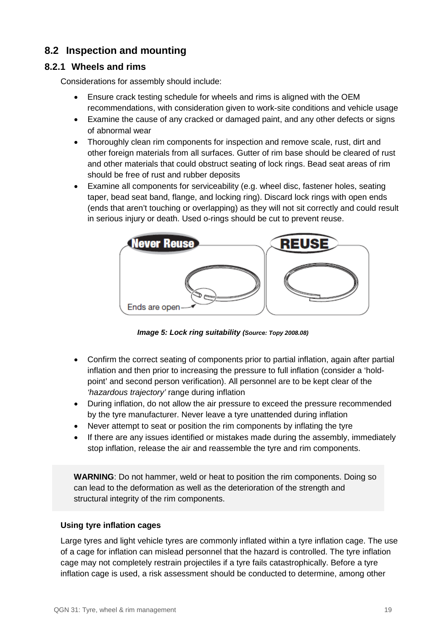### **8.2 Inspection and mounting**

### <span id="page-18-0"></span>**8.2.1 Wheels and rims**

Considerations for assembly should include:

- Ensure crack testing schedule for wheels and rims is aligned with the OEM recommendations, with consideration given to work-site conditions and vehicle usage
- Examine the cause of any cracked or damaged paint, and any other defects or signs of abnormal wear
- Thoroughly clean rim components for inspection and remove scale, rust, dirt and other foreign materials from all surfaces. Gutter of rim base should be cleared of rust and other materials that could obstruct seating of lock rings. Bead seat areas of rim should be free of rust and rubber deposits
- Examine all components for serviceability (e.g. wheel disc, fastener holes, seating taper, bead seat band, flange, and locking ring). Discard lock rings with open ends (ends that aren't touching or overlapping) as they will not sit correctly and could result in serious injury or death. Used o-rings should be cut to prevent reuse.



*Image 5: Lock ring suitability (Source: Topy 2008.08)*

- Confirm the correct seating of components prior to partial inflation, again after partial inflation and then prior to increasing the pressure to full inflation (consider a 'holdpoint' and second person verification). All personnel are to be kept clear of the *'hazardous trajectory'* range during inflation
- During inflation, do not allow the air pressure to exceed the pressure recommended by the tyre manufacturer. Never leave a tyre unattended during inflation
- Never attempt to seat or position the rim components by inflating the tyre
- If there are any issues identified or mistakes made during the assembly, immediately stop inflation, release the air and reassemble the tyre and rim components.

**WARNING**: Do not hammer, weld or heat to position the rim components. Doing so can lead to the deformation as well as the deterioration of the strength and structural integrity of the rim components.

#### **Using tyre inflation cages**

Large tyres and light vehicle tyres are commonly inflated within a tyre inflation cage. The use of a cage for inflation can mislead personnel that the hazard is controlled. The tyre inflation cage may not completely restrain projectiles if a tyre fails catastrophically. Before a tyre inflation cage is used, a risk assessment should be conducted to determine, among other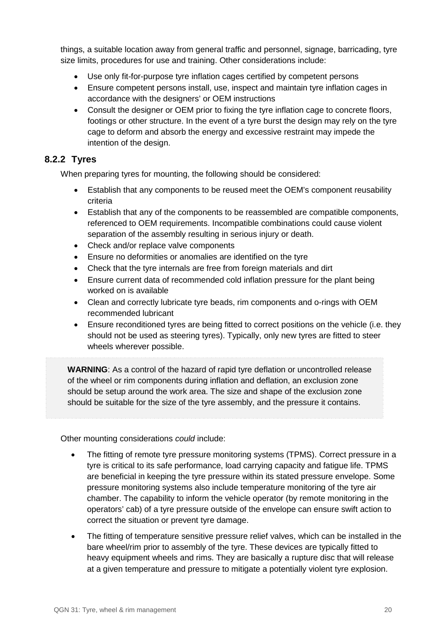things, a suitable location away from general traffic and personnel, signage, barricading, tyre size limits, procedures for use and training. Other considerations include:

- Use only fit-for-purpose tyre inflation cages certified by competent persons
- Ensure competent persons install, use, inspect and maintain tyre inflation cages in accordance with the designers' or OEM instructions
- Consult the designer or OEM prior to fixing the tyre inflation cage to concrete floors, footings or other structure. In the event of a tyre burst the design may rely on the tyre cage to deform and absorb the energy and excessive restraint may impede the intention of the design.

### <span id="page-19-0"></span>**8.2.2 Tyres**

When preparing tyres for mounting, the following should be considered:

- Establish that any components to be reused meet the OEM's component reusability criteria
- Establish that any of the components to be reassembled are compatible components, referenced to OEM requirements. Incompatible combinations could cause violent separation of the assembly resulting in serious injury or death.
- Check and/or replace valve components
- Ensure no deformities or anomalies are identified on the tyre
- Check that the tyre internals are free from foreign materials and dirt
- Ensure current data of recommended cold inflation pressure for the plant being worked on is available
- Clean and correctly lubricate tyre beads, rim components and o-rings with OEM recommended lubricant
- Ensure reconditioned tyres are being fitted to correct positions on the vehicle (i.e. they should not be used as steering tyres). Typically, only new tyres are fitted to steer wheels wherever possible.

**WARNING**: As a control of the hazard of rapid tyre deflation or uncontrolled release of the wheel or rim components during inflation and deflation, an exclusion zone should be setup around the work area. The size and shape of the exclusion zone should be suitable for the size of the tyre assembly, and the pressure it contains.

Other mounting considerations *could* include:

- The fitting of remote tyre pressure monitoring systems (TPMS). Correct pressure in a tyre is critical to its safe performance, load carrying capacity and fatigue life. TPMS are beneficial in keeping the tyre pressure within its stated pressure envelope. Some pressure monitoring systems also include temperature monitoring of the tyre air chamber. The capability to inform the vehicle operator (by remote monitoring in the operators' cab) of a tyre pressure outside of the envelope can ensure swift action to correct the situation or prevent tyre damage.
- The fitting of temperature sensitive pressure relief valves, which can be installed in the bare wheel/rim prior to assembly of the tyre. These devices are typically fitted to heavy equipment wheels and rims. They are basically a rupture disc that will release at a given temperature and pressure to mitigate a potentially violent tyre explosion.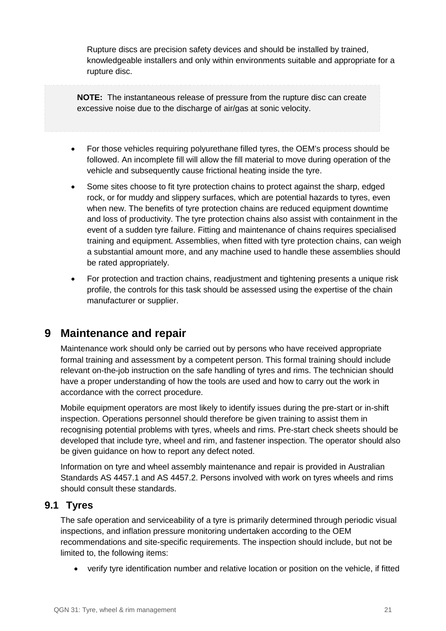Rupture discs are precision safety devices and should be installed by trained, knowledgeable installers and only within environments suitable and appropriate for a rupture disc.

**NOTE:** The instantaneous release of pressure from the rupture disc can create excessive noise due to the discharge of air/gas at sonic velocity.

- 
- For those vehicles requiring polyurethane filled tyres, the OEM's process should be followed. An incomplete fill will allow the fill material to move during operation of the vehicle and subsequently cause frictional heating inside the tyre.
- Some sites choose to fit tyre protection chains to protect against the sharp, edged rock, or for muddy and slippery surfaces, which are potential hazards to tyres, even when new. The benefits of tyre protection chains are reduced equipment downtime and loss of productivity. The tyre protection chains also assist with containment in the event of a sudden tyre failure. Fitting and maintenance of chains requires specialised training and equipment. Assemblies, when fitted with tyre protection chains, can weigh a substantial amount more, and any machine used to handle these assemblies should be rated appropriately.
- For protection and traction chains, readjustment and tightening presents a unique risk profile, the controls for this task should be assessed using the expertise of the chain manufacturer or supplier.

## <span id="page-20-0"></span>**9 Maintenance and repair**

Maintenance work should only be carried out by persons who have received appropriate formal training and assessment by a competent person. This formal training should include relevant on-the-job instruction on the safe handling of tyres and rims. The technician should have a proper understanding of how the tools are used and how to carry out the work in accordance with the correct procedure.

Mobile equipment operators are most likely to identify issues during the pre-start or in-shift inspection. Operations personnel should therefore be given training to assist them in recognising potential problems with tyres, wheels and rims. Pre-start check sheets should be developed that include tyre, wheel and rim, and fastener inspection. The operator should also be given guidance on how to report any defect noted.

Information on tyre and wheel assembly maintenance and repair is provided in Australian Standards AS 4457.1 and AS 4457.2. Persons involved with work on tyres wheels and rims should consult these standards.

### <span id="page-20-1"></span>**9.1 Tyres**

The safe operation and serviceability of a tyre is primarily determined through periodic visual inspections, and inflation pressure monitoring undertaken according to the OEM recommendations and site-specific requirements. The inspection should include, but not be limited to, the following items:

• verify tyre identification number and relative location or position on the vehicle, if fitted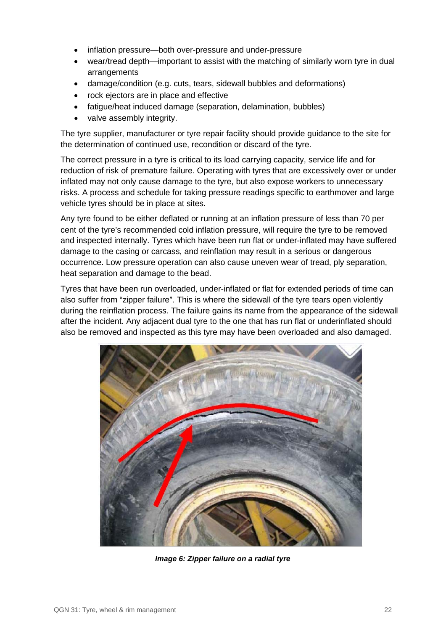- inflation pressure—both over-pressure and under-pressure
- wear/tread depth—important to assist with the matching of similarly worn tyre in dual arrangements
- damage/condition (e.g. cuts, tears, sidewall bubbles and deformations)
- rock ejectors are in place and effective
- fatigue/heat induced damage (separation, delamination, bubbles)
- valve assembly integrity.

The tyre supplier, manufacturer or tyre repair facility should provide guidance to the site for the determination of continued use, recondition or discard of the tyre.

The correct pressure in a tyre is critical to its load carrying capacity, service life and for reduction of risk of premature failure. Operating with tyres that are excessively over or under inflated may not only cause damage to the tyre, but also expose workers to unnecessary risks. A process and schedule for taking pressure readings specific to earthmover and large vehicle tyres should be in place at sites.

Any tyre found to be either deflated or running at an inflation pressure of less than 70 per cent of the tyre's recommended cold inflation pressure, will require the tyre to be removed and inspected internally. Tyres which have been run flat or under-inflated may have suffered damage to the casing or carcass, and reinflation may result in a serious or dangerous occurrence. Low pressure operation can also cause uneven wear of tread, ply separation, heat separation and damage to the bead.

Tyres that have been run overloaded, under-inflated or flat for extended periods of time can also suffer from "zipper failure". This is where the sidewall of the tyre tears open violently during the reinflation process. The failure gains its name from the appearance of the sidewall after the incident. Any adjacent dual tyre to the one that has run flat or underinflated should also be removed and inspected as this tyre may have been overloaded and also damaged.



*Image 6: Zipper failure on a radial tyre*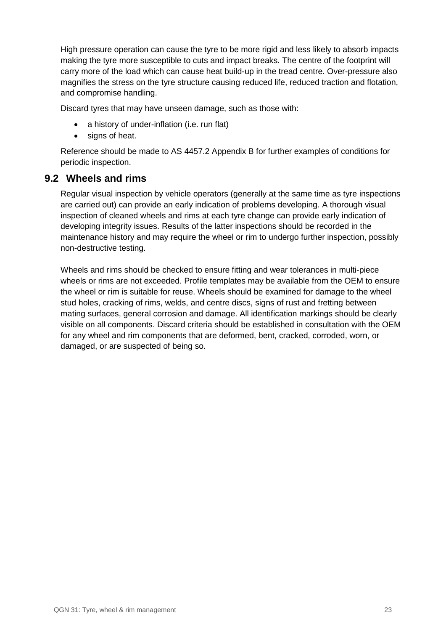High pressure operation can cause the tyre to be more rigid and less likely to absorb impacts making the tyre more susceptible to cuts and impact breaks. The centre of the footprint will carry more of the load which can cause heat build-up in the tread centre. Over-pressure also magnifies the stress on the tyre structure causing reduced life, reduced traction and flotation, and compromise handling.

Discard tyres that may have unseen damage, such as those with:

- a history of under-inflation (i.e. run flat)
- signs of heat.

Reference should be made to AS 4457.2 Appendix B for further examples of conditions for periodic inspection.

#### <span id="page-22-0"></span>**9.2 Wheels and rims**

Regular visual inspection by vehicle operators (generally at the same time as tyre inspections are carried out) can provide an early indication of problems developing. A thorough visual inspection of cleaned wheels and rims at each tyre change can provide early indication of developing integrity issues. Results of the latter inspections should be recorded in the maintenance history and may require the wheel or rim to undergo further inspection, possibly non-destructive testing.

Wheels and rims should be checked to ensure fitting and wear tolerances in multi-piece wheels or rims are not exceeded. Profile templates may be available from the OEM to ensure the wheel or rim is suitable for reuse. Wheels should be examined for damage to the wheel stud holes, cracking of rims, welds, and centre discs, signs of rust and fretting between mating surfaces, general corrosion and damage. All identification markings should be clearly visible on all components. Discard criteria should be established in consultation with the OEM for any wheel and rim components that are deformed, bent, cracked, corroded, worn, or damaged, or are suspected of being so.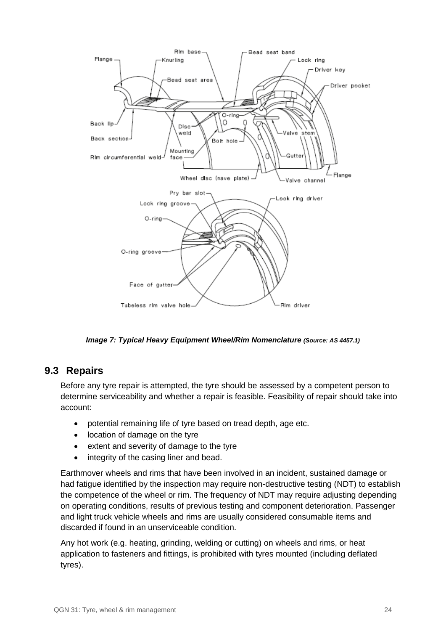

*Image 7: Typical Heavy Equipment Wheel/Rim Nomenclature (Source: AS 4457.1)*

### <span id="page-23-0"></span>**9.3 Repairs**

Before any tyre repair is attempted, the tyre should be assessed by a competent person to determine serviceability and whether a repair is feasible. Feasibility of repair should take into account:

- potential remaining life of tyre based on tread depth, age etc.
- location of damage on the tyre
- extent and severity of damage to the tyre
- integrity of the casing liner and bead.

Earthmover wheels and rims that have been involved in an incident, sustained damage or had fatigue identified by the inspection may require non-destructive testing (NDT) to establish the competence of the wheel or rim. The frequency of NDT may require adjusting depending on operating conditions, results of previous testing and component deterioration. Passenger and light truck vehicle wheels and rims are usually considered consumable items and discarded if found in an unserviceable condition.

Any hot work (e.g. heating, grinding, welding or cutting) on wheels and rims, or heat application to fasteners and fittings, is prohibited with tyres mounted (including deflated tyres).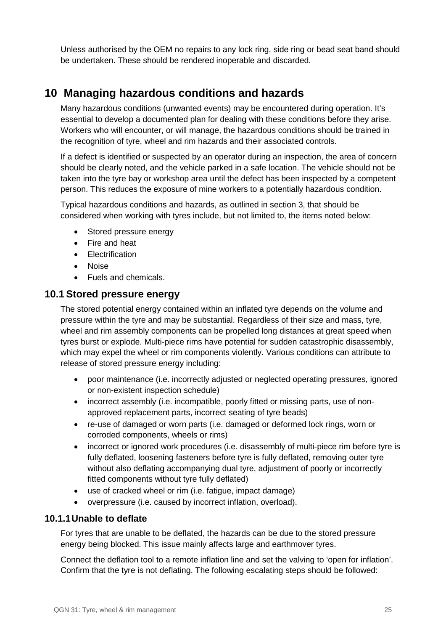Unless authorised by the OEM no repairs to any lock ring, side ring or bead seat band should be undertaken. These should be rendered inoperable and discarded.

# <span id="page-24-0"></span>**10 Managing hazardous conditions and hazards**

Many hazardous conditions (unwanted events) may be encountered during operation. It's essential to develop a documented plan for dealing with these conditions before they arise. Workers who will encounter, or will manage, the hazardous conditions should be trained in the recognition of tyre, wheel and rim hazards and their associated controls.

If a defect is identified or suspected by an operator during an inspection, the area of concern should be clearly noted, and the vehicle parked in a safe location. The vehicle should not be taken into the tyre bay or workshop area until the defect has been inspected by a competent person. This reduces the exposure of mine workers to a potentially hazardous condition.

Typical hazardous conditions and hazards, as outlined in section 3, that should be considered when working with tyres include, but not limited to, the items noted below:

- Stored pressure energy
- Fire and heat
- Electrification
- Noise
- Fuels and chemicals.

### <span id="page-24-1"></span>**10.1 Stored pressure energy**

The stored potential energy contained within an inflated tyre depends on the volume and pressure within the tyre and may be substantial. Regardless of their size and mass, tyre, wheel and rim assembly components can be propelled long distances at great speed when tyres burst or explode. Multi-piece rims have potential for sudden catastrophic disassembly, which may expel the wheel or rim components violently. Various conditions can attribute to release of stored pressure energy including:

- poor maintenance (i.e. incorrectly adjusted or neglected operating pressures, ignored or non-existent inspection schedule)
- incorrect assembly (i.e. incompatible, poorly fitted or missing parts, use of nonapproved replacement parts, incorrect seating of tyre beads)
- re-use of damaged or worn parts (i.e. damaged or deformed lock rings, worn or corroded components, wheels or rims)
- incorrect or ignored work procedures (i.e. disassembly of multi-piece rim before tyre is fully deflated, loosening fasteners before tyre is fully deflated, removing outer tyre without also deflating accompanying dual tyre, adjustment of poorly or incorrectly fitted components without tyre fully deflated)
- use of cracked wheel or rim (i.e. fatigue, impact damage)
- overpressure (i.e. caused by incorrect inflation, overload).

#### <span id="page-24-2"></span>**10.1.1Unable to deflate**

For tyres that are unable to be deflated, the hazards can be due to the stored pressure energy being blocked. This issue mainly affects large and earthmover tyres.

Connect the deflation tool to a remote inflation line and set the valving to 'open for inflation'. Confirm that the tyre is not deflating. The following escalating steps should be followed: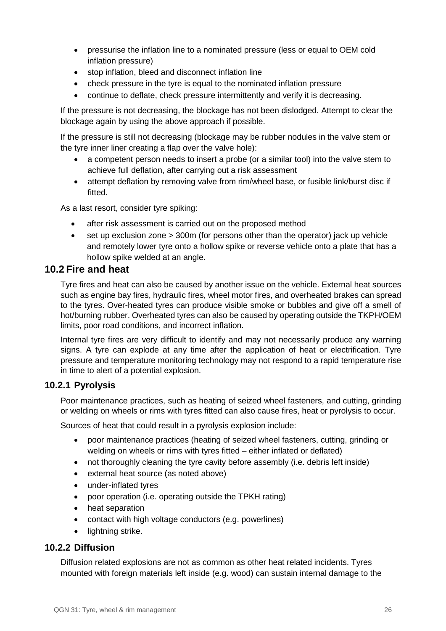- pressurise the inflation line to a nominated pressure (less or equal to OEM cold inflation pressure)
- stop inflation, bleed and disconnect inflation line
- check pressure in the tyre is equal to the nominated inflation pressure
- continue to deflate, check pressure intermittently and verify it is decreasing.

If the pressure is not decreasing, the blockage has not been dislodged. Attempt to clear the blockage again by using the above approach if possible.

If the pressure is still not decreasing (blockage may be rubber nodules in the valve stem or the tyre inner liner creating a flap over the valve hole):

- a competent person needs to insert a probe (or a similar tool) into the valve stem to achieve full deflation, after carrying out a risk assessment
- attempt deflation by removing valve from rim/wheel base, or fusible link/burst disc if fitted.

As a last resort, consider tyre spiking:

- after risk assessment is carried out on the proposed method
- set up exclusion zone > 300m (for persons other than the operator) jack up vehicle and remotely lower tyre onto a hollow spike or reverse vehicle onto a plate that has a hollow spike welded at an angle.

### <span id="page-25-0"></span>**10.2 Fire and heat**

Tyre fires and heat can also be caused by another issue on the vehicle. External heat sources such as engine bay fires, hydraulic fires, wheel motor fires, and overheated brakes can spread to the tyres. Over-heated tyres can produce visible smoke or bubbles and give off a smell of hot/burning rubber. Overheated tyres can also be caused by operating outside the TKPH/OEM limits, poor road conditions, and incorrect inflation.

Internal tyre fires are very difficult to identify and may not necessarily produce any warning signs. A tyre can explode at any time after the application of heat or electrification. Tyre pressure and temperature monitoring technology may not respond to a rapid temperature rise in time to alert of a potential explosion.

#### <span id="page-25-1"></span>**10.2.1 Pyrolysis**

Poor maintenance practices, such as heating of seized wheel fasteners, and cutting, grinding or welding on wheels or rims with tyres fitted can also cause fires, heat or pyrolysis to occur.

Sources of heat that could result in a pyrolysis explosion include:

- poor maintenance practices (heating of seized wheel fasteners, cutting, grinding or welding on wheels or rims with tyres fitted – either inflated or deflated)
- not thoroughly cleaning the tyre cavity before assembly (i.e. debris left inside)
- external heat source (as noted above)
- under-inflated tyres
- poor operation (i.e. operating outside the TPKH rating)
- heat separation
- contact with high voltage conductors (e.g. powerlines)
- <span id="page-25-2"></span>• lightning strike.

#### **10.2.2 Diffusion**

Diffusion related explosions are not as common as other heat related incidents. Tyres mounted with foreign materials left inside (e.g. wood) can sustain internal damage to the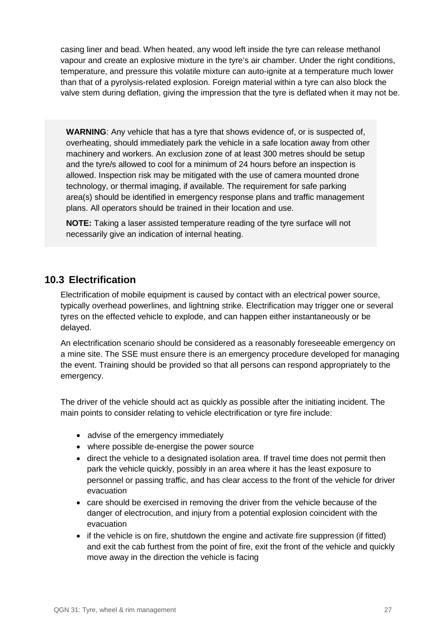casing liner and bead. When heated, any wood left inside the tyre can release methanol vapour and create an explosive mixture in the tyre's air chamber. Under the right conditions, temperature, and pressure this volatile mixture can auto-ignite at a temperature much lower than that of a pyrolysis-related explosion. Foreign material within a tyre can also block the valve stem during deflation, giving the impression that the tyre is deflated when it may not be.

**WARNING**: Any vehicle that has a tyre that shows evidence of, or is suspected of, overheating, should immediately park the vehicle in a safe location away from other machinery and workers. An exclusion zone of at least 300 metres should be setup and the tyre/s allowed to cool for a minimum of 24 hours before an inspection is allowed. Inspection risk may be mitigated with the use of camera mounted drone technology, or thermal imaging, if available. The requirement for safe parking area(s) should be identified in emergency response plans and traffic management plans. All operators should be trained in their location and use.

**NOTE:** Taking a laser assisted temperature reading of the tyre surface will not necessarily give an indication of internal heating.

### **10.3 Electrification**

<span id="page-26-0"></span>Electrification of mobile equipment is caused by contact with an electrical power source, typically overhead powerlines, and lightning strike. Electrification may trigger one or several tyres on the effected vehicle to explode, and can happen either instantaneously or be delayed.

An electrification scenario should be considered as a reasonably foreseeable emergency on a mine site. The SSE must ensure there is an emergency procedure developed for managing the event. Training should be provided so that all persons can respond appropriately to the emergency.

The driver of the vehicle should act as quickly as possible after the initiating incident. The main points to consider relating to vehicle electrification or tyre fire include:

- advise of the emergency immediately
- where possible de-energise the power source
- direct the vehicle to a designated isolation area. If travel time does not permit then park the vehicle quickly, possibly in an area where it has the least exposure to personnel or passing traffic, and has clear access to the front of the vehicle for driver evacuation
- care should be exercised in removing the driver from the vehicle because of the danger of electrocution, and injury from a potential explosion coincident with the evacuation
- if the vehicle is on fire, shutdown the engine and activate fire suppression (if fitted) and exit the cab furthest from the point of fire, exit the front of the vehicle and quickly move away in the direction the vehicle is facing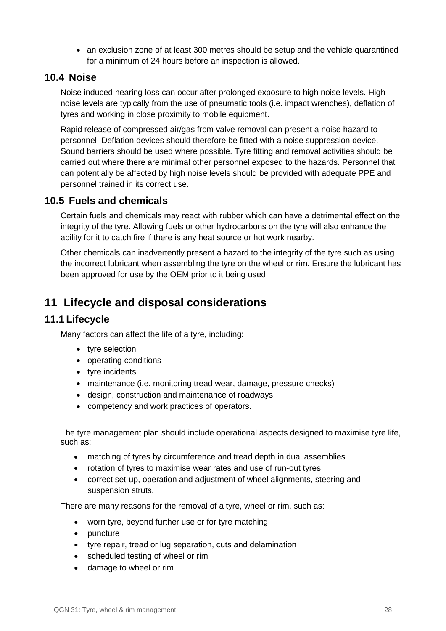• an exclusion zone of at least 300 metres should be setup and the vehicle quarantined for a minimum of 24 hours before an inspection is allowed.

### **10.4 Noise**

<span id="page-27-0"></span>Noise induced hearing loss can occur after prolonged exposure to high noise levels. High noise levels are typically from the use of pneumatic tools (i.e. impact wrenches), deflation of tyres and working in close proximity to mobile equipment.

Rapid release of compressed air/gas from valve removal can present a noise hazard to personnel. Deflation devices should therefore be fitted with a noise suppression device. Sound barriers should be used where possible. Tyre fitting and removal activities should be carried out where there are minimal other personnel exposed to the hazards. Personnel that can potentially be affected by high noise levels should be provided with adequate PPE and personnel trained in its correct use.

### **10.5 Fuels and chemicals**

<span id="page-27-1"></span>Certain fuels and chemicals may react with rubber which can have a detrimental effect on the integrity of the tyre. Allowing fuels or other hydrocarbons on the tyre will also enhance the ability for it to catch fire if there is any heat source or hot work nearby.

Other chemicals can inadvertently present a hazard to the integrity of the tyre such as using the incorrect lubricant when assembling the tyre on the wheel or rim. Ensure the lubricant has been approved for use by the OEM prior to it being used.

# <span id="page-27-2"></span>**11 Lifecycle and disposal considerations**

### <span id="page-27-3"></span>**11.1 Lifecycle**

Many factors can affect the life of a tyre, including:

- tyre selection
- operating conditions
- tyre incidents
- maintenance (i.e. monitoring tread wear, damage, pressure checks)
- design, construction and maintenance of roadways
- competency and work practices of operators.

The tyre management plan should include operational aspects designed to maximise tyre life, such as:

- matching of tyres by circumference and tread depth in dual assemblies
- rotation of tyres to maximise wear rates and use of run-out tyres
- correct set-up, operation and adjustment of wheel alignments, steering and suspension struts.

There are many reasons for the removal of a tyre, wheel or rim, such as:

- worn tyre, beyond further use or for tyre matching
- puncture
- tyre repair, tread or lug separation, cuts and delamination
- scheduled testing of wheel or rim
- damage to wheel or rim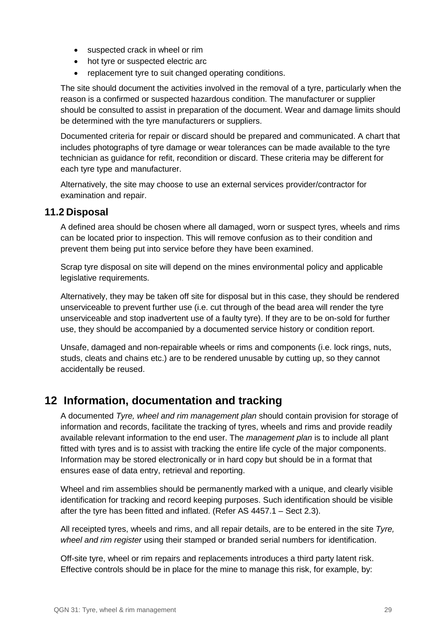- suspected crack in wheel or rim
- hot tyre or suspected electric arc
- replacement tyre to suit changed operating conditions.

The site should document the activities involved in the removal of a tyre, particularly when the reason is a confirmed or suspected hazardous condition. The manufacturer or supplier should be consulted to assist in preparation of the document. Wear and damage limits should be determined with the tyre manufacturers or suppliers.

Documented criteria for repair or discard should be prepared and communicated. A chart that includes photographs of tyre damage or wear tolerances can be made available to the tyre technician as guidance for refit, recondition or discard. These criteria may be different for each tyre type and manufacturer.

Alternatively, the site may choose to use an external services provider/contractor for examination and repair.

### <span id="page-28-0"></span>**11.2 Disposal**

A defined area should be chosen where all damaged, worn or suspect tyres, wheels and rims can be located prior to inspection. This will remove confusion as to their condition and prevent them being put into service before they have been examined.

Scrap tyre disposal on site will depend on the mines environmental policy and applicable legislative requirements.

Alternatively, they may be taken off site for disposal but in this case, they should be rendered unserviceable to prevent further use (i.e. cut through of the bead area will render the tyre unserviceable and stop inadvertent use of a faulty tyre). If they are to be on-sold for further use, they should be accompanied by a documented service history or condition report.

Unsafe, damaged and non-repairable wheels or rims and components (i.e. lock rings, nuts, studs, cleats and chains etc.) are to be rendered unusable by cutting up, so they cannot accidentally be reused.

# <span id="page-28-1"></span>**12 Information, documentation and tracking**

A documented *Tyre, wheel and rim management plan* should contain provision for storage of information and records, facilitate the tracking of tyres, wheels and rims and provide readily available relevant information to the end user. The *management plan* is to include all plant fitted with tyres and is to assist with tracking the entire life cycle of the major components. Information may be stored electronically or in hard copy but should be in a format that ensures ease of data entry, retrieval and reporting.

Wheel and rim assemblies should be permanently marked with a unique, and clearly visible identification for tracking and record keeping purposes. Such identification should be visible after the tyre has been fitted and inflated. (Refer AS 4457.1 – Sect 2.3).

All receipted tyres, wheels and rims, and all repair details, are to be entered in the site *Tyre, wheel and rim register* using their stamped or branded serial numbers for identification.

Off-site tyre, wheel or rim repairs and replacements introduces a third party latent risk. Effective controls should be in place for the mine to manage this risk, for example, by: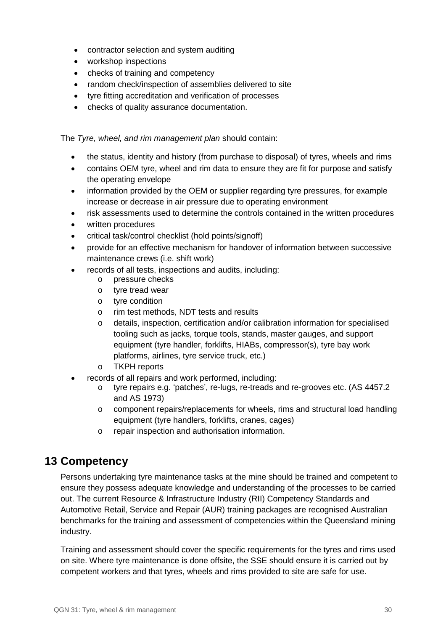- contractor selection and system auditing
- workshop inspections
- checks of training and competency
- random check/inspection of assemblies delivered to site
- tyre fitting accreditation and verification of processes
- checks of quality assurance documentation.

The *Tyre, wheel, and rim management plan* should contain:

- the status, identity and history (from purchase to disposal) of tyres, wheels and rims
- contains OEM tyre, wheel and rim data to ensure they are fit for purpose and satisfy the operating envelope
- information provided by the OEM or supplier regarding tyre pressures, for example increase or decrease in air pressure due to operating environment
- risk assessments used to determine the controls contained in the written procedures
- written procedures
- critical task/control checklist (hold points/signoff)
- provide for an effective mechanism for handover of information between successive maintenance crews (i.e. shift work)
- records of all tests, inspections and audits, including:
	- o pressure checks
	- o tyre tread wear
	- o tyre condition
	- o rim test methods, NDT tests and results
	- o details, inspection, certification and/or calibration information for specialised tooling such as jacks, torque tools, stands, master gauges, and support equipment (tyre handler, forklifts, HIABs, compressor(s), tyre bay work platforms, airlines, tyre service truck, etc.)
	- o TKPH reports
- records of all repairs and work performed, including:
	- o tyre repairs e.g. 'patches', re-lugs, re-treads and re-grooves etc. (AS 4457.2 and AS 1973)
	- o component repairs/replacements for wheels, rims and structural load handling equipment (tyre handlers, forklifts, cranes, cages)
	- o repair inspection and authorisation information.

# <span id="page-29-0"></span>**13 Competency**

Persons undertaking tyre maintenance tasks at the mine should be trained and competent to ensure they possess adequate knowledge and understanding of the processes to be carried out. The current Resource & Infrastructure Industry (RII) Competency Standards and Automotive Retail, Service and Repair (AUR) training packages are recognised Australian benchmarks for the training and assessment of competencies within the Queensland mining industry.

Training and assessment should cover the specific requirements for the tyres and rims used on site. Where tyre maintenance is done offsite, the SSE should ensure it is carried out by competent workers and that tyres, wheels and rims provided to site are safe for use.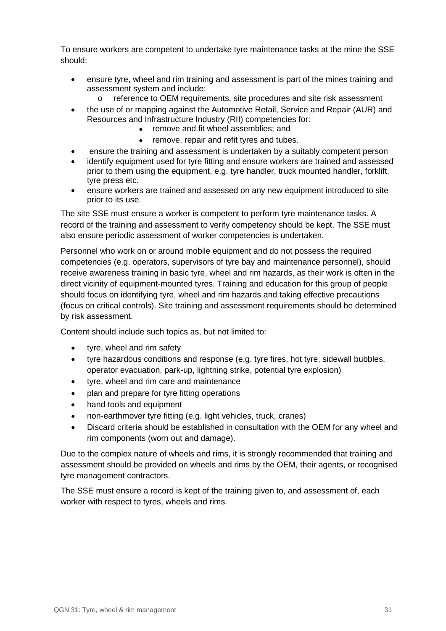To ensure workers are competent to undertake tyre maintenance tasks at the mine the SSE should:

- ensure tyre, wheel and rim training and assessment is part of the mines training and assessment system and include:
	- o reference to OEM requirements, site procedures and site risk assessment
- the use of or mapping against the Automotive Retail, Service and Repair (AUR) and Resources and Infrastructure Industry (RII) competencies for:
	- remove and fit wheel assemblies; and
		- remove, repair and refit tyres and tubes.
- ensure the training and assessment is undertaken by a suitably competent person
- identify equipment used for tyre fitting and ensure workers are trained and assessed prior to them using the equipment, e.g. tyre handler, truck mounted handler, forklift, tyre press etc.
- ensure workers are trained and assessed on any new equipment introduced to site prior to its use.

The site SSE must ensure a worker is competent to perform tyre maintenance tasks. A record of the training and assessment to verify competency should be kept. The SSE must also ensure periodic assessment of worker competencies is undertaken.

Personnel who work on or around mobile equipment and do not possess the required competencies (e.g. operators, supervisors of tyre bay and maintenance personnel), should receive awareness training in basic tyre, wheel and rim hazards, as their work is often in the direct vicinity of equipment-mounted tyres. Training and education for this group of people should focus on identifying tyre, wheel and rim hazards and taking effective precautions (focus on critical controls). Site training and assessment requirements should be determined by risk assessment.

Content should include such topics as, but not limited to:

- tyre, wheel and rim safety
- tyre hazardous conditions and response (e.g. tyre fires, hot tyre, sidewall bubbles, operator evacuation, park-up, lightning strike, potential tyre explosion)
- tyre, wheel and rim care and maintenance
- plan and prepare for tyre fitting operations
- hand tools and equipment
- non-earthmover tyre fitting (e.g. light vehicles, truck, cranes)
- Discard criteria should be established in consultation with the OEM for any wheel and rim components (worn out and damage).

Due to the complex nature of wheels and rims, it is strongly recommended that training and assessment should be provided on wheels and rims by the OEM, their agents, or recognised tyre management contractors.

The SSE must ensure a record is kept of the training given to, and assessment of, each worker with respect to tyres, wheels and rims.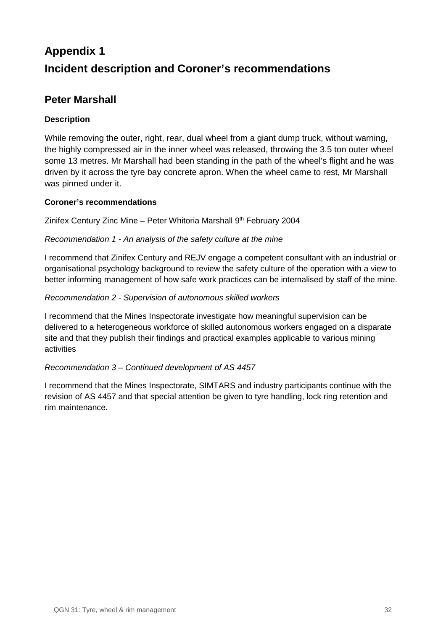# <span id="page-31-0"></span>**Appendix 1 Incident description and Coroner's recommendations**

### <span id="page-31-1"></span>**Peter Marshall**

### **Description**

While removing the outer, right, rear, dual wheel from a giant dump truck, without warning, the highly compressed air in the inner wheel was released, throwing the 3.5 ton outer wheel some 13 metres. Mr Marshall had been standing in the path of the wheel's flight and he was driven by it across the tyre bay concrete apron. When the wheel came to rest, Mr Marshall was pinned under it.

#### **Coroner's recommendations**

Zinifex Century Zinc Mine - Peter Whitoria Marshall 9<sup>th</sup> February 2004

#### *Recommendation 1 - An analysis of the safety culture at the mine*

I recommend that Zinifex Century and REJV engage a competent consultant with an industrial or organisational psychology background to review the safety culture of the operation with a view to better informing management of how safe work practices can be internalised by staff of the mine.

#### *Recommendation 2 - Supervision of autonomous skilled workers*

I recommend that the Mines Inspectorate investigate how meaningful supervision can be delivered to a heterogeneous workforce of skilled autonomous workers engaged on a disparate site and that they publish their findings and practical examples applicable to various mining activities

#### *Recommendation 3 – Continued development of AS 4457*

<span id="page-31-2"></span>I recommend that the Mines Inspectorate, SIMTARS and industry participants continue with the revision of AS 4457 and that special attention be given to tyre handling, lock ring retention and rim maintenance.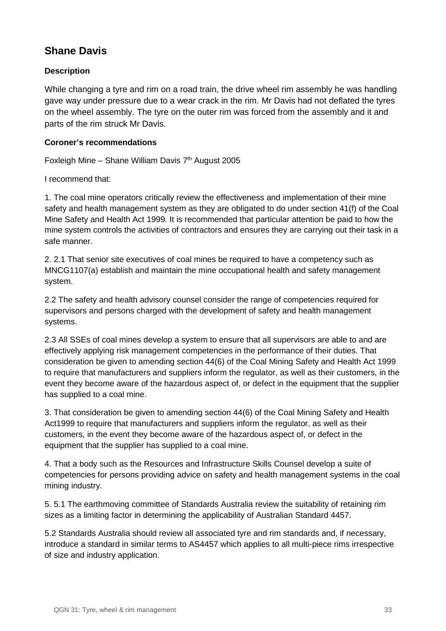# **Shane Davis**

### **Description**

While changing a tyre and rim on a road train, the drive wheel rim assembly he was handling gave way under pressure due to a wear crack in the rim. Mr Davis had not deflated the tyres on the wheel assembly. The tyre on the outer rim was forced from the assembly and it and parts of the rim struck Mr Davis.

#### **Coroner's recommendations**

Foxleigh Mine – Shane William Davis  $7<sup>th</sup>$  August 2005

I recommend that:

1. The coal mine operators critically review the effectiveness and implementation of their mine safety and health management system as they are obligated to do under section 41(f) of the Coal Mine Safety and Health Act 1999. It is recommended that particular attention be paid to how the mine system controls the activities of contractors and ensures they are carrying out their task in a safe manner.

2. 2.1 That senior site executives of coal mines be required to have a competency such as MNCG1107(a) establish and maintain the mine occupational health and safety management system.

2.2 The safety and health advisory counsel consider the range of competencies required for supervisors and persons charged with the development of safety and health management systems.

2.3 All SSEs of coal mines develop a system to ensure that all supervisors are able to and are effectively applying risk management competencies in the performance of their duties. That consideration be given to amending section 44(6) of the Coal Mining Safety and Health Act 1999 to require that manufacturers and suppliers inform the regulator, as well as their customers, in the event they become aware of the hazardous aspect of, or defect in the equipment that the supplier has supplied to a coal mine.

3. That consideration be given to amending section 44(6) of the Coal Mining Safety and Health Act1999 to require that manufacturers and suppliers inform the regulator, as well as their customers, in the event they become aware of the hazardous aspect of, or defect in the equipment that the supplier has supplied to a coal mine.

4. That a body such as the Resources and Infrastructure Skills Counsel develop a suite of competencies for persons providing advice on safety and health management systems in the coal mining industry.

5. 5.1 The earthmoving committee of Standards Australia review the suitability of retaining rim sizes as a limiting factor in determining the applicability of Australian Standard 4457.

5.2 Standards Australia should review all associated tyre and rim standards and, if necessary, introduce a standard in similar terms to AS4457 which applies to all multi-piece rims irrespective of size and industry application.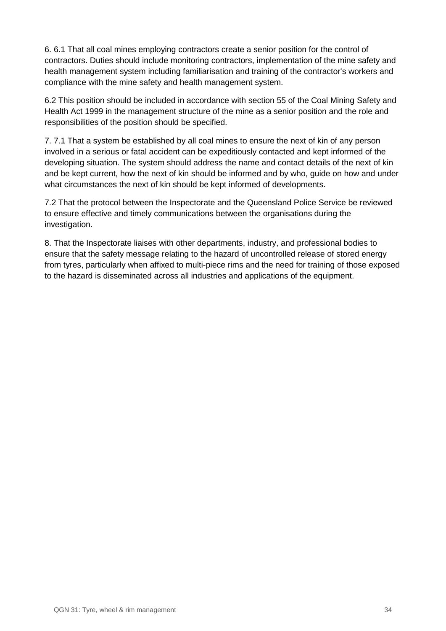6. 6.1 That all coal mines employing contractors create a senior position for the control of contractors. Duties should include monitoring contractors, implementation of the mine safety and health management system including familiarisation and training of the contractor's workers and compliance with the mine safety and health management system.

6.2 This position should be included in accordance with section 55 of the Coal Mining Safety and Health Act 1999 in the management structure of the mine as a senior position and the role and responsibilities of the position should be specified.

7. 7.1 That a system be established by all coal mines to ensure the next of kin of any person involved in a serious or fatal accident can be expeditiously contacted and kept informed of the developing situation. The system should address the name and contact details of the next of kin and be kept current, how the next of kin should be informed and by who, guide on how and under what circumstances the next of kin should be kept informed of developments.

7.2 That the protocol between the Inspectorate and the Queensland Police Service be reviewed to ensure effective and timely communications between the organisations during the investigation.

<span id="page-33-0"></span>8. That the Inspectorate liaises with other departments, industry, and professional bodies to ensure that the safety message relating to the hazard of uncontrolled release of stored energy from tyres, particularly when affixed to multi-piece rims and the need for training of those exposed to the hazard is disseminated across all industries and applications of the equipment.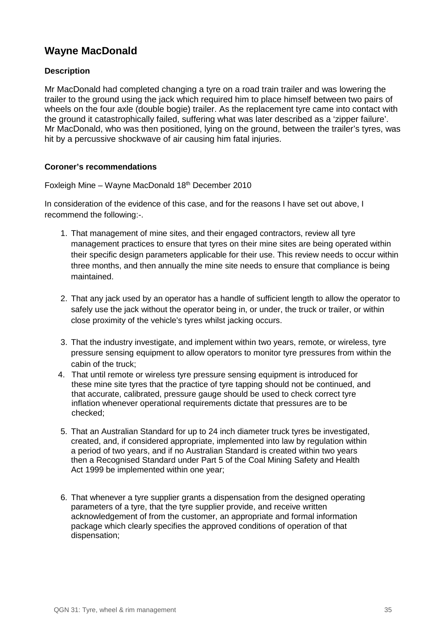# **Wayne MacDonald**

#### **Description**

Mr MacDonald had completed changing a tyre on a road train trailer and was lowering the trailer to the ground using the jack which required him to place himself between two pairs of wheels on the four axle (double bogie) trailer. As the replacement tyre came into contact with the ground it catastrophically failed, suffering what was later described as a 'zipper failure'. Mr MacDonald, who was then positioned, lying on the ground, between the trailer's tyres, was hit by a percussive shockwave of air causing him fatal injuries.

#### **Coroner's recommendations**

Foxleigh Mine – Wayne MacDonald 18th December 2010

In consideration of the evidence of this case, and for the reasons I have set out above, I recommend the following:-.

- 1. That management of mine sites, and their engaged contractors, review all tyre management practices to ensure that tyres on their mine sites are being operated within their specific design parameters applicable for their use. This review needs to occur within three months, and then annually the mine site needs to ensure that compliance is being maintained.
- 2. That any jack used by an operator has a handle of sufficient length to allow the operator to safely use the jack without the operator being in, or under, the truck or trailer, or within close proximity of the vehicle's tyres whilst jacking occurs.
- 3. That the industry investigate, and implement within two years, remote, or wireless, tyre pressure sensing equipment to allow operators to monitor tyre pressures from within the cabin of the truck;
- 4. That until remote or wireless tyre pressure sensing equipment is introduced for these mine site tyres that the practice of tyre tapping should not be continued, and that accurate, calibrated, pressure gauge should be used to check correct tyre inflation whenever operational requirements dictate that pressures are to be checked;
- 5. That an Australian Standard for up to 24 inch diameter truck tyres be investigated, created, and, if considered appropriate, implemented into law by regulation within a period of two years, and if no Australian Standard is created within two years then a Recognised Standard under Part 5 of the Coal Mining Safety and Health Act 1999 be implemented within one year;
- 6. That whenever a tyre supplier grants a dispensation from the designed operating parameters of a tyre, that the tyre supplier provide, and receive written acknowledgement of from the customer, an appropriate and formal information package which clearly specifies the approved conditions of operation of that dispensation;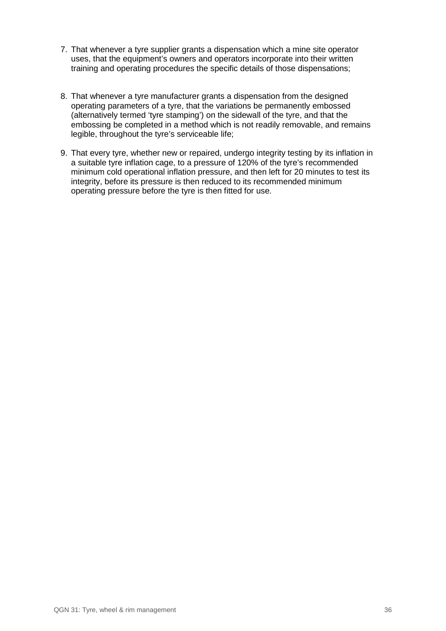- 7. That whenever a tyre supplier grants a dispensation which a mine site operator uses, that the equipment's owners and operators incorporate into their written training and operating procedures the specific details of those dispensations;
- 8. That whenever a tyre manufacturer grants a dispensation from the designed operating parameters of a tyre, that the variations be permanently embossed (alternatively termed 'tyre stamping') on the sidewall of the tyre, and that the embossing be completed in a method which is not readily removable, and remains legible, throughout the tyre's serviceable life;
- 9. That every tyre, whether new or repaired, undergo integrity testing by its inflation in a suitable tyre inflation cage, to a pressure of 120% of the tyre's recommended minimum cold operational inflation pressure, and then left for 20 minutes to test its integrity, before its pressure is then reduced to its recommended minimum operating pressure before the tyre is then fitted for use.